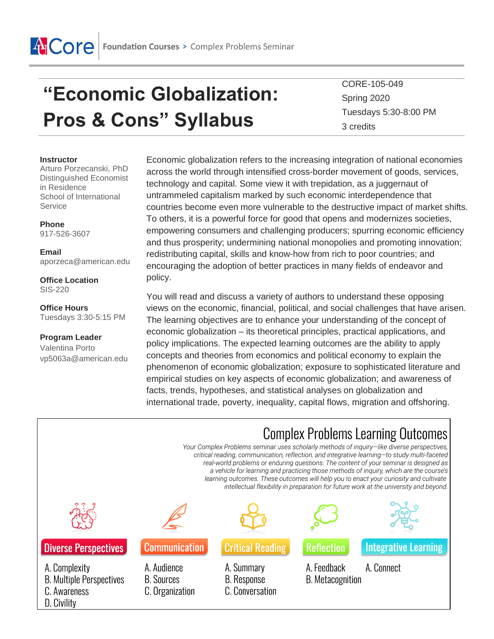

# **"Economic Globalization: Pros & Cons" Syllabus**

CORE-105-049 Spring 2020 Tuesdays 5:30-8:00 PM 3 credits

#### **Instructor**

Arturo Porzecanski, PhD Distinguished Economist in Residence School of International Service

**Phone** 917-526-3607

#### **Email** aporzeca@american.edu

**Office Location**

SIS-220

#### **Office Hours** Tuesdays 3:30-5:15 PM

**Program Leader**  Valentina Porto vp5063a@american.edu Economic globalization refers to the increasing integration of national economies across the world through intensified cross-border movement of goods, services, technology and capital. Some view it with trepidation, as a juggernaut of untrammeled capitalism marked by such economic interdependence that countries become even more vulnerable to the destructive impact of market shifts. To others, it is a powerful force for good that opens and modernizes societies, empowering consumers and challenging producers; spurring economic efficiency and thus prosperity; undermining national monopolies and promoting innovation; redistributing capital, skills and know-how from rich to poor countries; and encouraging the adoption of better practices in many fields of endeavor and policy.

You will read and discuss a variety of authors to understand these opposing views on the economic, financial, political, and social challenges that have arisen. The learning objectives are to enhance your understanding of the concept of economic globalization – its theoretical principles, practical applications, and policy implications. The expected learning outcomes are the ability to apply concepts and theories from economics and political economy to explain the phenomenon of economic globalization; exposure to sophisticated literature and empirical studies on key aspects of economic globalization; and awareness of facts, trends, hypotheses, and statistical analyses on globalization and international trade, poverty, inequality, capital flows, migration and offshoring.

|                                                                                 | <b>Complex Problems Learning Outcomes</b><br>Your Complex Problems seminar uses scholarly methods of inquiry-like diverse perspectives,<br>critical reading, communication, reflection, and integrative learning-to study multi-faceted<br>real-world problems or enduring questions. The content of your seminar is designed as<br>a vehicle for learning and practicing those methods of inquiry, which are the course's<br>learning outcomes. These outcomes will help you to enact your curiosity and cultivate<br>intellectual flexibility in preparation for future work at the university and beyond. |                                                     |                                        |                             |
|---------------------------------------------------------------------------------|--------------------------------------------------------------------------------------------------------------------------------------------------------------------------------------------------------------------------------------------------------------------------------------------------------------------------------------------------------------------------------------------------------------------------------------------------------------------------------------------------------------------------------------------------------------------------------------------------------------|-----------------------------------------------------|----------------------------------------|-----------------------------|
|                                                                                 |                                                                                                                                                                                                                                                                                                                                                                                                                                                                                                                                                                                                              |                                                     |                                        |                             |
| <b>Diverse Perspectives</b>                                                     | <b>Communication</b>                                                                                                                                                                                                                                                                                                                                                                                                                                                                                                                                                                                         | <b>Critical Reading</b>                             | <b>Reflection</b>                      | <b>Integrative Learning</b> |
| A. Complexity<br><b>B. Multiple Perspectives</b><br>C. Awareness<br>D. Civility | A. Audience<br><b>B.</b> Sources<br>C. Organization                                                                                                                                                                                                                                                                                                                                                                                                                                                                                                                                                          | A. Summary<br><b>B.</b> Response<br>C. Conversation | A. Feedback<br><b>B.</b> Metacognition | A. Connect                  |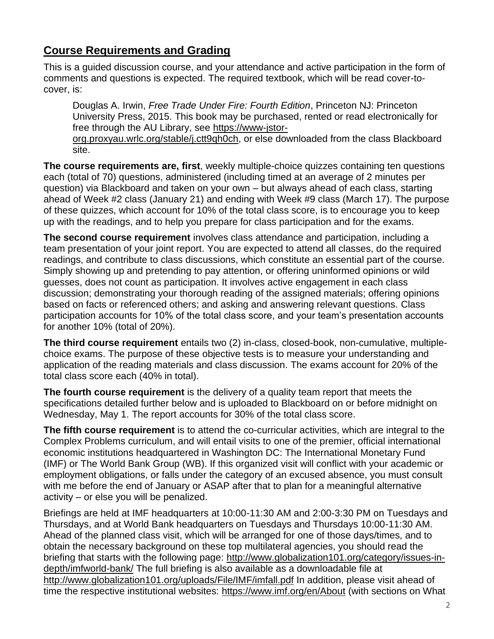# **Course Requirements and Grading**

This is a guided discussion course, and your attendance and active participation in the form of comments and questions is expected. The required textbook, which will be read cover-tocover, is:

Douglas A. Irwin, *Free Trade Under Fire: Fourth Edition*, Princeton NJ: Princeton University Press, 2015. This book may be purchased, rented or read electronically for free through the AU Library, see [https://www-jstor-](https://www-jstor-org.proxyau.wrlc.org/stable/j.ctt9qh0ch)

[org.proxyau.wrlc.org/stable/j.ctt9qh0ch,](https://www-jstor-org.proxyau.wrlc.org/stable/j.ctt9qh0ch) or else downloaded from the class Blackboard site.

**The course requirements are, first**, weekly multiple-choice quizzes containing ten questions each (total of 70) questions, administered (including timed at an average of 2 minutes per question) via Blackboard and taken on your own – but always ahead of each class, starting ahead of Week #2 class (January 21) and ending with Week #9 class (March 17). The purpose of these quizzes, which account for 10% of the total class score, is to encourage you to keep up with the readings, and to help you prepare for class participation and for the exams.

**The second course requirement** involves class attendance and participation, including a team presentation of your joint report. You are expected to attend all classes, do the required readings, and contribute to class discussions, which constitute an essential part of the course. Simply showing up and pretending to pay attention, or offering uninformed opinions or wild guesses, does not count as participation. It involves active engagement in each class discussion; demonstrating your thorough reading of the assigned materials; offering opinions based on facts or referenced others; and asking and answering relevant questions. Class participation accounts for 10% of the total class score, and your team's presentation accounts for another 10% (total of 20%).

**The third course requirement** entails two (2) in-class, closed-book, non-cumulative, multiplechoice exams. The purpose of these objective tests is to measure your understanding and application of the reading materials and class discussion. The exams account for 20% of the total class score each (40% in total).

**The fourth course requirement** is the delivery of a quality team report that meets the specifications detailed further below and is uploaded to Blackboard on or before midnight on Wednesday, May 1. The report accounts for 30% of the total class score.

**The fifth course requirement** is to attend the co-curricular activities, which are integral to the Complex Problems curriculum, and will entail visits to one of the premier, official international economic institutions headquartered in Washington DC: The International Monetary Fund (IMF) or The World Bank Group (WB). If this organized visit will conflict with your academic or employment obligations, or falls under the category of an excused absence, you must consult with me before the end of January or ASAP after that to plan for a meaningful alternative activity – or else you will be penalized.

Briefings are held at IMF headquarters at 10:00-11:30 AM and 2:00-3:30 PM on Tuesdays and Thursdays, and at World Bank headquarters on Tuesdays and Thursdays 10:00-11:30 AM. Ahead of the planned class visit, which will be arranged for one of those days/times, and to obtain the necessary background on these top multilateral agencies, you should read the briefing that starts with the following page: [http://www.globalization101.org/category/issues-in](http://www.globalization101.org/category/issues-in-depth/imfworld-bank/)[depth/imfworld-bank/](http://www.globalization101.org/category/issues-in-depth/imfworld-bank/) The full briefing is also available as a downloadable file at <http://www.globalization101.org/uploads/File/IMF/imfall.pdf> In addition, please visit ahead of time the respective institutional websites:<https://www.imf.org/en/About> (with sections on What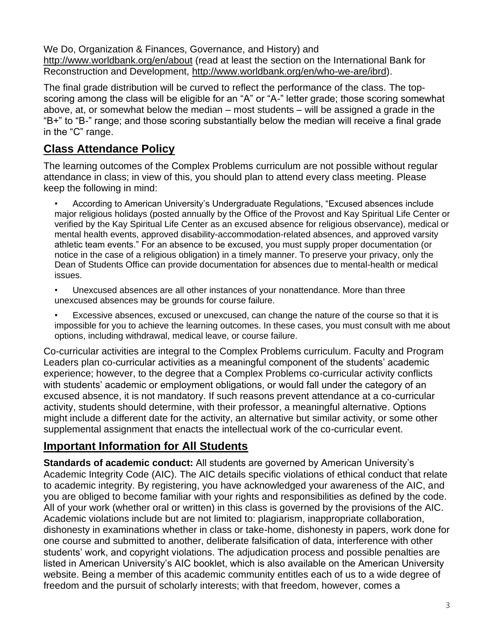We Do, Organization & Finances, Governance, and History) and <http://www.worldbank.org/en/about> (read at least the section on the International Bank for Reconstruction and Development, [http://www.worldbank.org/en/who-we-are/ibrd\)](http://www.worldbank.org/en/who-we-are/ibrd).

The final grade distribution will be curved to reflect the performance of the class. The topscoring among the class will be eligible for an "A" or "A-" letter grade; those scoring somewhat above, at, or somewhat below the median – most students – will be assigned a grade in the "B+" to "B-" range; and those scoring substantially below the median will receive a final grade in the "C" range.

# **Class Attendance Policy**

The learning outcomes of the Complex Problems curriculum are not possible without regular attendance in class; in view of this, you should plan to attend every class meeting. Please keep the following in mind:

• According to American University's Undergraduate Regulations, "Excused absences include major religious holidays (posted annually by the Office of the Provost and Kay Spiritual Life Center or verified by the Kay Spiritual Life Center as an excused absence for religious observance), medical or mental health events, approved disability-accommodation-related absences, and approved varsity athletic team events." For an absence to be excused, you must supply proper documentation (or notice in the case of a religious obligation) in a timely manner. To preserve your privacy, only the Dean of Students Office can provide documentation for absences due to mental-health or medical issues.

• Unexcused absences are all other instances of your nonattendance. More than three unexcused absences may be grounds for course failure.

• Excessive absences, excused or unexcused, can change the nature of the course so that it is impossible for you to achieve the learning outcomes. In these cases, you must consult with me about options, including withdrawal, medical leave, or course failure.

Co-curricular activities are integral to the Complex Problems curriculum. Faculty and Program Leaders plan co-curricular activities as a meaningful component of the students' academic experience; however, to the degree that a Complex Problems co-curricular activity conflicts with students' academic or employment obligations, or would fall under the category of an excused absence, it is not mandatory. If such reasons prevent attendance at a co-curricular activity, students should determine, with their professor, a meaningful alternative. Options might include a different date for the activity, an alternative but similar activity, or some other supplemental assignment that enacts the intellectual work of the co-curricular event.

# **Important Information for All Students**

**Standards of academic conduct:** All students are governed by American University's Academic Integrity Code (AIC). The AIC details specific violations of ethical conduct that relate to academic integrity. By registering, you have acknowledged your awareness of the AIC, and you are obliged to become familiar with your rights and responsibilities as defined by the code. All of your work (whether oral or written) in this class is governed by the provisions of the AIC. Academic violations include but are not limited to: plagiarism, inappropriate collaboration, dishonesty in examinations whether in class or take-home, dishonesty in papers, work done for one course and submitted to another, deliberate falsification of data, interference with other students' work, and copyright violations. The adjudication process and possible penalties are listed in American University's AIC booklet, which is also available on the American University website. Being a member of this academic community entitles each of us to a wide degree of freedom and the pursuit of scholarly interests; with that freedom, however, comes a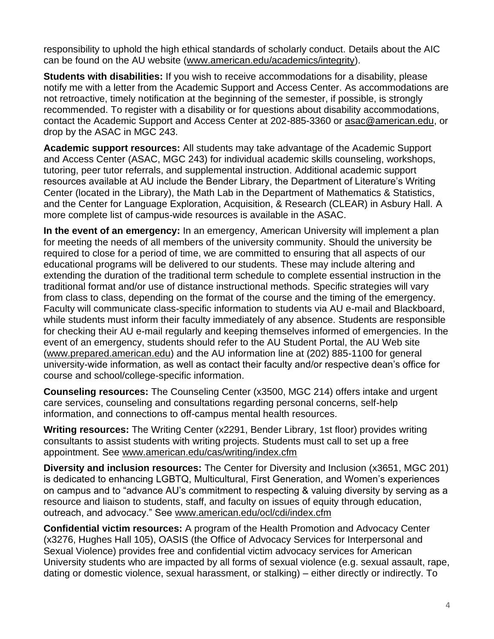responsibility to uphold the high ethical standards of scholarly conduct. Details about the AIC can be found on the AU website [\(www.american.edu/academics/integrity\)](http://www.american.edu/academics/integrity).

**Students with disabilities:** If you wish to receive accommodations for a disability, please notify me with a letter from the Academic Support and Access Center. As accommodations are not retroactive, timely notification at the beginning of the semester, if possible, is strongly recommended. To register with a disability or for questions about disability accommodations, contact the Academic Support and Access Center at 202-885-3360 or [asac@american.edu,](mailto:asac@american.edu) or drop by the ASAC in MGC 243.

**Academic support resources:** All students may take advantage of the Academic Support and Access Center (ASAC, MGC 243) for individual academic skills counseling, workshops, tutoring, peer tutor referrals, and supplemental instruction. Additional academic support resources available at AU include the Bender Library, the Department of Literature's Writing Center (located in the Library), the Math Lab in the Department of Mathematics & Statistics, and the Center for Language Exploration, Acquisition, & Research (CLEAR) in Asbury Hall. A more complete list of campus-wide resources is available in the ASAC.

**In the event of an emergency:** In an emergency, American University will implement a plan for meeting the needs of all members of the university community. Should the university be required to close for a period of time, we are committed to ensuring that all aspects of our educational programs will be delivered to our students. These may include altering and extending the duration of the traditional term schedule to complete essential instruction in the traditional format and/or use of distance instructional methods. Specific strategies will vary from class to class, depending on the format of the course and the timing of the emergency. Faculty will communicate class-specific information to students via AU e-mail and Blackboard, while students must inform their faculty immediately of any absence. Students are responsible for checking their AU e-mail regularly and keeping themselves informed of emergencies. In the event of an emergency, students should refer to the AU Student Portal, the AU Web site [\(www.prepared.american.edu\)](http://www.prepared.american.edu/) and the AU information line at (202) 885-1100 for general university-wide information, as well as contact their faculty and/or respective dean's office for course and school/college-specific information.

**Counseling resources:** The Counseling Center (x3500, MGC 214) offers intake and urgent care services, counseling and consultations regarding personal concerns, self-help information, and connections to off-campus mental health resources.

**Writing resources:** The Writing Center (x2291, Bender Library, 1st floor) provides writing consultants to assist students with writing projects. Students must call to set up a free appointment. See [www.american.edu/cas/writing/index.cfm](http://www.american.edu/cas/writing/index.cfm)

**Diversity and inclusion resources:** The Center for Diversity and Inclusion (x3651, MGC 201) is dedicated to enhancing LGBTQ, Multicultural, First Generation, and Women's experiences on campus and to "advance AU's commitment to respecting & valuing diversity by serving as a resource and liaison to students, staff, and faculty on issues of equity through education, outreach, and advocacy." See [www.american.edu/ocl/cdi/index.cfm](http://www.american.edu/ocl/cdi/index.cfm)

**Confidential victim resources:** A program of the Health Promotion and Advocacy Center (x3276, Hughes Hall 105), OASIS (the Office of Advocacy Services for Interpersonal and Sexual Violence) provides free and confidential victim advocacy services for American University students who are impacted by all forms of sexual violence (e.g. sexual assault, rape, dating or domestic violence, sexual harassment, or stalking) – either directly or indirectly. To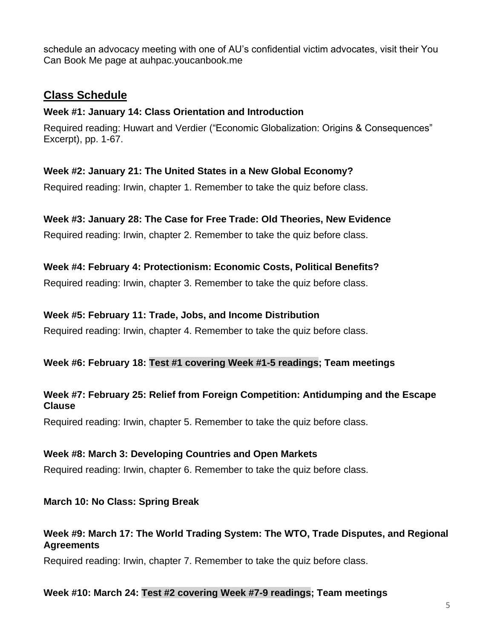schedule an advocacy meeting with one of AU's confidential victim advocates, visit their You Can Book Me page at auhpac.youcanbook.me

# **Class Schedule**

#### **Week #1: January 14: Class Orientation and Introduction**

Required reading: Huwart and Verdier ("Economic Globalization: Origins & Consequences" Excerpt), pp. 1-67.

#### **Week #2: January 21: The United States in a New Global Economy?**

Required reading: Irwin, chapter 1. Remember to take the quiz before class.

## **Week #3: January 28: The Case for Free Trade: Old Theories, New Evidence**

Required reading: Irwin, chapter 2. Remember to take the quiz before class.

#### **Week #4: February 4: Protectionism: Economic Costs, Political Benefits?**

Required reading: Irwin, chapter 3. Remember to take the quiz before class.

#### **Week #5: February 11: Trade, Jobs, and Income Distribution**

Required reading: Irwin, chapter 4. Remember to take the quiz before class.

## **Week #6: February 18: Test #1 covering Week #1-5 readings; Team meetings**

#### **Week #7: February 25: Relief from Foreign Competition: Antidumping and the Escape Clause**

Required reading: Irwin, chapter 5. Remember to take the quiz before class.

#### **Week #8: March 3: Developing Countries and Open Markets**

Required reading: Irwin, chapter 6. Remember to take the quiz before class.

#### **March 10: No Class: Spring Break**

## **Week #9: March 17: The World Trading System: The WTO, Trade Disputes, and Regional Agreements**

Required reading: Irwin, chapter 7. Remember to take the quiz before class.

#### **Week #10: March 24: Test #2 covering Week #7-9 readings; Team meetings**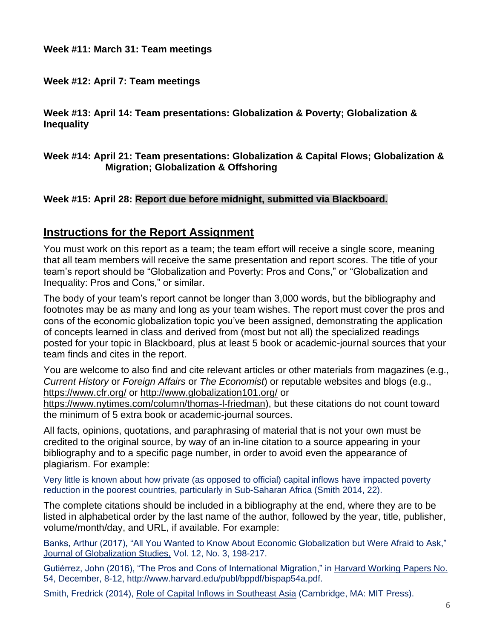## **Week #12: April 7: Team meetings**

**Week #13: April 14: Team presentations: Globalization & Poverty; Globalization & Inequality**

#### **Week #14: April 21: Team presentations: Globalization & Capital Flows; Globalization & Migration; Globalization & Offshoring**

## **Week #15: April 28: Report due before midnight, submitted via Blackboard.**

# **Instructions for the Report Assignment**

You must work on this report as a team; the team effort will receive a single score, meaning that all team members will receive the same presentation and report scores. The title of your team's report should be "Globalization and Poverty: Pros and Cons," or "Globalization and Inequality: Pros and Cons," or similar.

The body of your team's report cannot be longer than 3,000 words, but the bibliography and footnotes may be as many and long as your team wishes. The report must cover the pros and cons of the economic globalization topic you've been assigned, demonstrating the application of concepts learned in class and derived from (most but not all) the specialized readings posted for your topic in Blackboard, plus at least 5 book or academic-journal sources that your team finds and cites in the report.

You are welcome to also find and cite relevant articles or other materials from magazines (e.g., *Current History* or *Foreign Affairs* or *The Economist*) or reputable websites and blogs (e.g., <https://www.cfr.org/> or<http://www.globalization101.org/> or

[https://www.nytimes.com/column/thomas-l-friedman\)](https://www.nytimes.com/column/thomas-l-friedman), but these citations do not count toward the minimum of 5 extra book or academic-journal sources.

All facts, opinions, quotations, and paraphrasing of material that is not your own must be credited to the original source, by way of an in-line citation to a source appearing in your bibliography and to a specific page number, in order to avoid even the appearance of plagiarism. For example:

Very little is known about how private (as opposed to official) capital inflows have impacted poverty reduction in the poorest countries, particularly in Sub-Saharan Africa (Smith 2014, 22).

The complete citations should be included in a bibliography at the end, where they are to be listed in alphabetical order by the last name of the author, followed by the year, title, publisher, volume/month/day, and URL, if available. For example:

Banks, Arthur (2017), "All You Wanted to Know About Economic Globalization but Were Afraid to Ask," Journal of Globalization Studies, Vol. 12, No. 3, 198-217.

Gutiérrez, John (2016), "The Pros and Cons of International Migration," in Harvard Working Papers No. 54, December, 8-12, [http://www.harvard.edu/publ/bppdf/bispap54a.pdf.](http://www.harvard.edu/publ/bppdf/bispap54a.pdf)

Smith, Fredrick (2014), Role of Capital Inflows in Southeast Asia (Cambridge, MA: MIT Press).